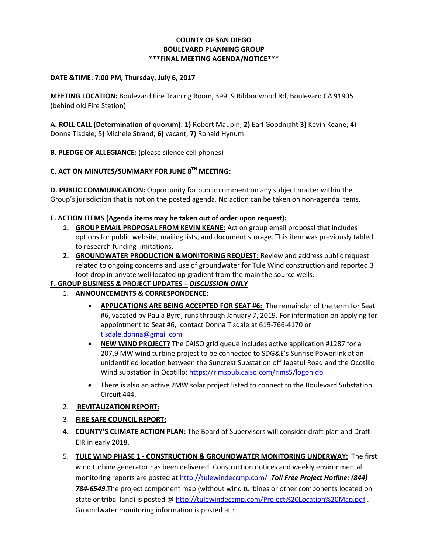#### **COUNTY OF SAN DIEGO BOULEVARD PLANNING GROUP \*\*\*FINAL MEETING AGENDA/NOTICE\*\*\***

#### **DATE &TIME: 7:00 PM, Thursday, July 6, 2017**

**MEETING LOCATION:** Boulevard Fire Training Room, 39919 Ribbonwood Rd, Boulevard CA 91905 (behind old Fire Station)

**A. ROLL CALL (Determination of quorum): 1)** Robert Maupin; **2)** Earl Goodnight **3)** Kevin Keane; **4**) Donna Tisdale; 5**)** Michele Strand; **6)** vacant; **7)** Ronald Hynum

**B. PLEDGE OF ALLEGIANCE:** (please silence cell phones)

# **C. ACT ON MINUTES/SUMMARY FOR JUNE 8TH MEETING:**

**D. PUBLIC COMMUNICATION:** Opportunity for public comment on any subject matter within the Group's jurisdiction that is not on the posted agenda. No action can be taken on non-agenda items.

#### **E. ACTION ITEMS (Agenda items may be taken out of order upon request):**

- **1. GROUP EMAIL PROPOSAL FROM KEVIN KEANE:** Act on group email proposal that includes options for public website, mailing lists, and document storage. This item was previously tabled to research funding limitations.
- **2. GROUNDWATER PRODUCTION &MONITORING REQUEST:** Review and address public request related to ongoing concerns and use of groundwater for Tule Wind construction and reported 3 foot drop in private well located up gradient from the main the source wells.

## **F. GROUP BUSINESS & PROJECT UPDATES –** *DISCUSSION ONLY*

- 1. **ANNOUNCEMENTS & CORRESPONDENCE:**
	- **APPLICATIONS ARE BEING ACCEPTED FOR SEAT #6:** The remainder of the term for Seat #6, vacated by Paula Byrd, runs through January 7, 2019. For information on applying for appointment to Seat #6, contact Donna Tisdale at 619-766-4170 or [tisdale.donna@gmail.com](mailto:tisdale.donna@gmail.com)
	- **NEW WIND PROJECT?** The CAISO grid queue includes active application #1287 for a 207.9 MW wind turbine project to be connected to SDG&E's Sunrise Powerlink at an unidentified location between the Suncrest Substation off Japatul Road and the Ocotillo Wind substation in Ocotillo:<https://rimspub.caiso.com/rims5/logon.do>
	- There is also an active 2MW solar project listed to connect to the Boulevard Substation Circuit 444.

#### 2. **REVITALIZATION REPORT:**

## 3. **FIRE SAFE COUNCIL REPORT:**

- **4. COUNTY'S CLIMATE ACTION PLAN:** The Board of Supervisors will consider draft plan and Draft EIR in early 2018.
- 5. **TULE WIND PHASE 1 - CONSTRUCTION & GROUNDWATER MONITORING UNDERWAY:** The first wind turbine generator has been delivered. Construction notices and weekly environmental monitoring reports are posted at <http://tulewindeccmp.com/> .*Toll Free Project Hotline: (844) 784-6549*.The project component map (without wind turbines or other components located on state or tribal land) is posted @ <http://tulewindeccmp.com/Project%20Location%20Map.pdf>. Groundwater monitoring information is posted at :